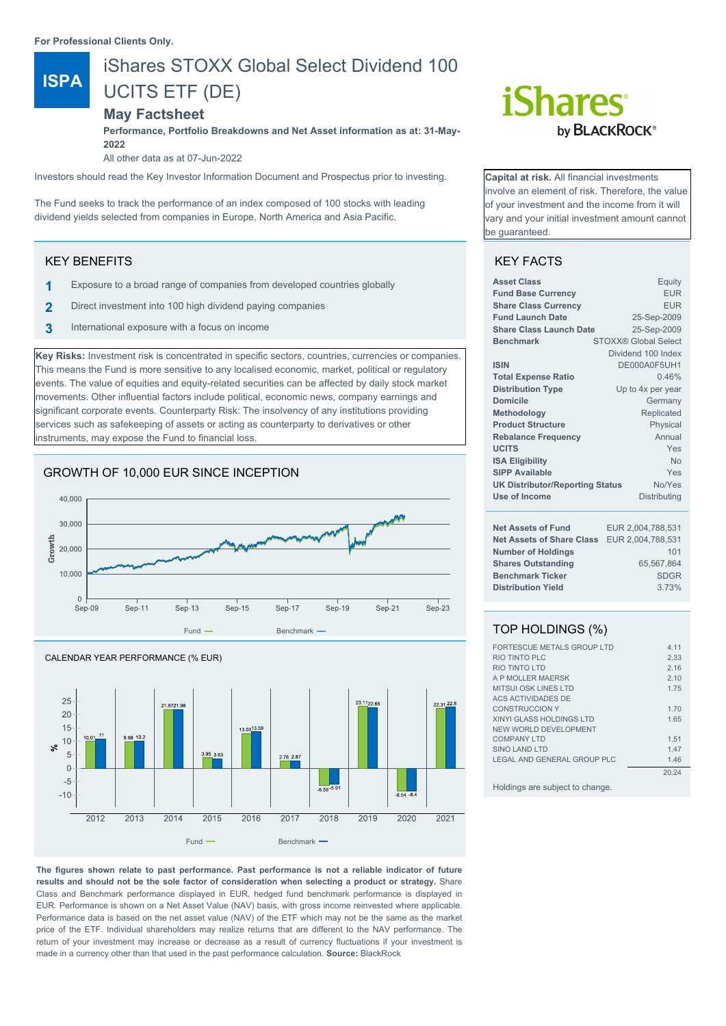**For Professional Clients Only.**

# iShares STOXX Global Select Dividend 100

**ISPA** UCITS ETF (DE)

# **May Factsheet**

**Performance, Portfolio Breakdowns and Net Asset information as at: 31-May-2022**

All other data as at 07-Jun-2022

Investors should read the Key Investor Information Document and Prospectus prior to investing.

The Fund seeks to track the performance of an index composed of 100 stocks with leading dividend yields selected from companies in Europe, North America and Asia Pacific.

# KEY BENEFITS

- **1** Exposure to a broad range of companies from developed countries globally
- **2** Direct investment into 100 high dividend paying companies
- **3** International exposure with a focus on income

**Key Risks:** Investment risk is concentrated in specific sectors, countries, currencies or companies. This means the Fund is more sensitive to any localised economic, market, political or regulatory events. The value of equities and equity-related securities can be affected by daily stock market movements. Other influential factors include political, economic news, company earnings and significant corporate events. Counterparty Risk: The insolvency of any institutions providing services such as safekeeping of assets or acting as counterparty to derivatives or other instruments, may expose the Fund to financial loss.

# GROWTH OF 10,000 EUR SINCE INCEPTION





**The figures shown relate to past performance. Past performance is not a reliable indicator of future results and should not be the sole factor of consideration when selecting a product or strategy.** Share Class and Benchmark performance displayed in EUR, hedged fund benchmark performance is displayed in EUR. Performance is shown on a Net Asset Value (NAV) basis, with gross income reinvested where applicable. Performance data is based on the net asset value (NAV) of the ETF which may not be the same as the market price of the ETF. Individual shareholders may realize returns that are different to the NAV performance. The return of your investment may increase or decrease as a result of currency fluctuations if your investment is made in a currency other than that used in the past performance calculation. **Source:** BlackRock

# *iShares* by **BLACKROCK**<sup>®</sup>

**Capital at risk.** All financial investments nvolve an element of risk. Therefore, the value of your investment and the income from it will vary and your initial investment amount cannot be guaranteed.

# KEY FACTS

| <b>Asset Class</b><br><b>Fund Base Currency</b><br><b>Share Class Currency</b><br><b>Fund Launch Date</b><br><b>Share Class Launch Date</b><br><b>Benchmark</b><br><b>ISIN</b><br><b>Total Expense Ratio</b><br><b>Distribution Type</b><br><b>Domicile</b><br>Methodology | Equity<br><b>EUR</b><br><b>EUR</b><br>25-Sep-2009<br>25-Sep-2009<br><b>STOXX® Global Select</b><br>Dividend 100 Index<br>DE000A0F5UH1<br>0.46%<br>Up to 4x per year<br>Germany<br>Replicated |  |
|----------------------------------------------------------------------------------------------------------------------------------------------------------------------------------------------------------------------------------------------------------------------------|----------------------------------------------------------------------------------------------------------------------------------------------------------------------------------------------|--|
| <b>Product Structure</b>                                                                                                                                                                                                                                                   | Physical                                                                                                                                                                                     |  |
| <b>Rebalance Frequency</b>                                                                                                                                                                                                                                                 | Annual                                                                                                                                                                                       |  |
| <b>UCITS</b>                                                                                                                                                                                                                                                               | Yes                                                                                                                                                                                          |  |
| <b>ISA Eligibility</b>                                                                                                                                                                                                                                                     | N <sub>0</sub>                                                                                                                                                                               |  |
| <b>SIPP Available</b>                                                                                                                                                                                                                                                      | Yes                                                                                                                                                                                          |  |
| <b>UK Distributor/Reporting Status</b>                                                                                                                                                                                                                                     | No/Yes                                                                                                                                                                                       |  |
| Use of Income                                                                                                                                                                                                                                                              | Distributing                                                                                                                                                                                 |  |
| <b>Net Assets of Fund</b>                                                                                                                                                                                                                                                  | EUR 2,004,788,531                                                                                                                                                                            |  |
| <b>Net Assets of Share Class</b>                                                                                                                                                                                                                                           | EUR 2,004,788,531                                                                                                                                                                            |  |
| <b>Number of Holdings</b>                                                                                                                                                                                                                                                  | 101                                                                                                                                                                                          |  |
| <b>Shares Outstanding</b>                                                                                                                                                                                                                                                  | 65,567,864                                                                                                                                                                                   |  |
| <b>Benchmark Ticker</b>                                                                                                                                                                                                                                                    | <b>SDGR</b>                                                                                                                                                                                  |  |
| <b>Distribution Yield</b>                                                                                                                                                                                                                                                  | 3.73%                                                                                                                                                                                        |  |

# TOP HOLDINGS (%)

| FORTESCUE METALS GROUP LTD      | 4 1 1 |
|---------------------------------|-------|
| RIO TINTO PLC                   | 2.33  |
| <b>RIO TINTO LTD</b>            | 2.16  |
| A P MOLLER MAERSK               | 2.10  |
| <b>MITSUI OSK LINES LTD</b>     | 1.75  |
| ACS ACTIVIDADES DE              |       |
| <b>CONSTRUCCION Y</b>           | 1.70  |
| <b>XINYI GLASS HOLDINGS LTD</b> | 1.65  |
| NEW WORLD DEVELOPMENT           |       |
| <b>COMPANY LTD</b>              | 1.51  |
| SINO LAND LTD                   | 1.47  |
| LEGAL AND GENERAL GROUP PLC     | 1.46  |
|                                 | 20.24 |
|                                 |       |

Holdings are subject to change.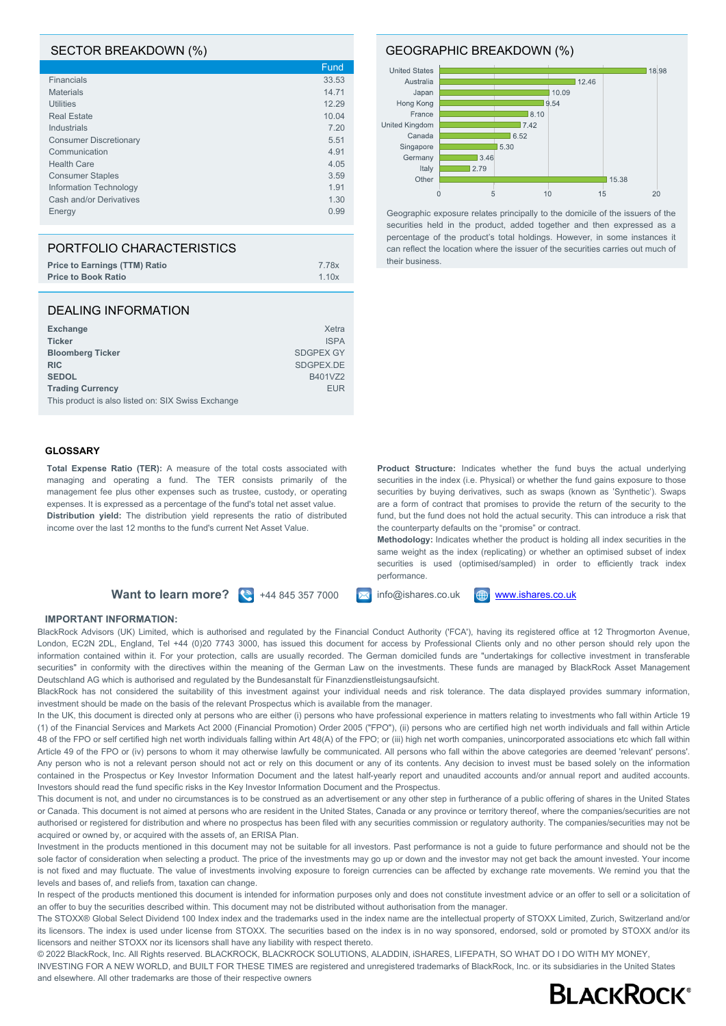## SECTOR BREAKDOWN (%)

|                               | Fund  |
|-------------------------------|-------|
| Financials                    | 33.53 |
| <b>Materials</b>              | 14.71 |
| <b>Utilities</b>              | 12.29 |
| <b>Real Estate</b>            | 10.04 |
| Industrials                   | 7.20  |
| <b>Consumer Discretionary</b> | 5.51  |
| Communication                 | 4.91  |
| <b>Health Care</b>            | 4.05  |
| <b>Consumer Staples</b>       | 3.59  |
| Information Technology        | 1.91  |
| Cash and/or Derivatives       | 1.30  |
| Energy                        | 0.99  |

| PORTFOLIO CHARACTERISTICS            |       |
|--------------------------------------|-------|
| <b>Price to Earnings (TTM) Ratio</b> | 7.78x |
| <b>Price to Book Ratio</b>           | 1.10x |

#### DEALING INFORMATION

| Exchange                                           | Xetra            |
|----------------------------------------------------|------------------|
| <b>Ticker</b>                                      | <b>ISPA</b>      |
| <b>Bloomberg Ticker</b>                            | <b>SDGPEX GY</b> |
| <b>RIC</b>                                         | SDGPEX.DE        |
| <b>SEDOL</b>                                       | B401VZ2          |
| <b>Trading Currency</b>                            | <b>EUR</b>       |
| This product is also listed on: SIX Swiss Exchange |                  |

#### **GLOSSARY**

**Total Expense Ratio (TER):** A measure of the total costs associated with managing and operating a fund. The TER consists primarily of the management fee plus other expenses such as trustee, custody, or operating expenses. It is expressed as a percentage of the fund's total net asset value. **Distribution yield:** The distribution yield represents the ratio of distributed income over the last 12 months to the fund's current Net Asset Value.

# **Want to learn more?**  $\left(\frac{1}{2}\right)$  +44 845 357 7000  $\left[\frac{1}{2}\right]$  info@ishares.co.uk  $\left[\frac{1}{2}\right]$  [www.ishares.co.uk](http://www.ishares.co.uk)

### **IMPORTANT INFORMATION:**

BlackRock Advisors (UK) Limited, which is authorised and regulated by the Financial Conduct Authority ('FCA'), having its registered office at 12 Throgmorton Avenue, London, EC2N 2DL, England, Tel +44 (0)20 7743 3000, has issued this document for access by Professional Clients only and no other person should rely upon the information contained within it. For your protection, calls are usually recorded. The German domiciled funds are "undertakings for collective investment in transferable securities" in conformity with the directives within the meaning of the German Law on the investments. These funds are managed by BlackRock Asset Management Deutschland AG which is authorised and regulated by the Bundesanstalt für Finanzdienstleistungsaufsicht.

BlackRock has not considered the suitability of this investment against your individual needs and risk tolerance. The data displayed provides summary information, investment should be made on the basis of the relevant Prospectus which is available from the manager.

In the UK, this document is directed only at persons who are either (i) persons who have professional experience in matters relating to investments who fall within Article 19 (1) of the Financial Services and Markets Act 2000 (Financial Promotion) Order 2005 ("FPO"), (ii) persons who are certified high net worth individuals and fall within Article 48 of the FPO or self certified high net worth individuals falling within Art 48(A) of the FPO; or (iii) high net worth companies, unincorporated associations etc which fall within Article 49 of the FPO or (iv) persons to whom it may otherwise lawfully be communicated. All persons who fall within the above categories are deemed 'relevant' persons'. Any person who is not a relevant person should not act or rely on this document or any of its contents. Any decision to invest must be based solely on the information contained in the Prospectus or Key Investor Information Document and the latest half-yearly report and unaudited accounts and/or annual report and audited accounts. Investors should read the fund specific risks in the Key Investor Information Document and the Prospectus.

This document is not, and under no circumstances is to be construed as an advertisement or any other step in furtherance of a public offering of shares in the United States or Canada. This document is not aimed at persons who are resident in the United States, Canada or any province or territory thereof, where the companies/securities are not authorised or registered for distribution and where no prospectus has been filed with any securities commission or regulatory authority. The companies/securities may not be acquired or owned by, or acquired with the assets of, an ERISA Plan.

Investment in the products mentioned in this document may not be suitable for all investors. Past performance is not a guide to future performance and should not be the sole factor of consideration when selecting a product. The price of the investments may go up or down and the investor may not get back the amount invested. Your income is not fixed and may fluctuate. The value of investments involving exposure to foreign currencies can be affected by exchange rate movements. We remind you that the levels and bases of, and reliefs from, taxation can change.

In respect of the products mentioned this document is intended for information purposes only and does not constitute investment advice or an offer to sell or a solicitation of an offer to buy the securities described within. This document may not be distributed without authorisation from the manager.

The STOXX® Global Select Dividend 100 Index index and the trademarks used in the index name are the intellectual property of STOXX Limited, Zurich, Switzerland and/or its licensors. The index is used under license from STOXX. The securities based on the index is in no way sponsored, endorsed, sold or promoted by STOXX and/or its licensors and neither STOXX nor its licensors shall have any liability with respect thereto.

© 2022 BlackRock, Inc. All Rights reserved. BLACKROCK, BLACKROCK SOLUTIONS, ALADDIN, iSHARES, LIFEPATH, SO WHAT DO I DO WITH MY MONEY, INVESTING FOR A NEW WORLD, and BUILT FOR THESE TIMES are registered and unregistered trademarks of BlackRock, Inc. or its subsidiaries in the United States and elsewhere. All other trademarks are those of their respective owners

**Product Structure:** Indicates whether the fund buys the actual underlying securities in the index (i.e. Physical) or whether the fund gains exposure to those securities by buying derivatives, such as swaps (known as 'Synthetic'). Swaps are a form of contract that promises to provide the return of the security to the fund, but the fund does not hold the actual security. This can introduce a risk that the counterparty defaults on the "promise" or contract.

**Methodology:** Indicates whether the product is holding all index securities in the same weight as the index (replicating) or whether an optimised subset of index securities is used (optimised/sampled) in order to efficiently track index performance.



#### GEOGRAPHIC BREAKDOWN (%)



Geographic exposure relates principally to the domicile of the issuers of the securities held in the product, added together and then expressed as a percentage of the product's total holdings. However, in some instances it can reflect the location where the issuer of the securities carries out much of their business.